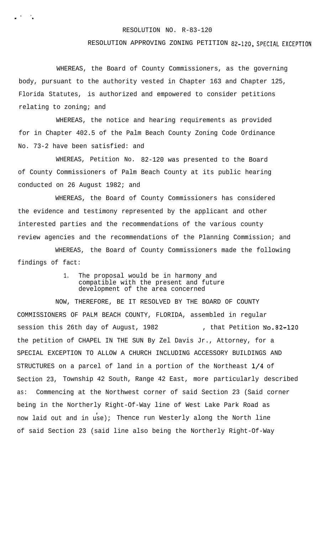## RESOLUTION NO. R-83-120

## RESOLUTION APPROVING ZONING PETITION 82-120, SPECIAL EXCEPTION

WHEREAS, the Board of County Commissioners, as the governing body, pursuant to the authority vested in Chapter 163 and Chapter 125, Florida Statutes, is authorized and empowered to consider petitions relating to zoning; and

. , . .

> WHEREAS, the notice and hearing requirements as provided for in Chapter 402.5 of the Palm Beach County Zoning Code Ordinance No. 73-2 have been satisfied: and

WHEREAS, Petition No. 82-120 was presented to the Board of County Commissioners of Palm Beach County at its public hearing conducted on 26 August 1982; and

WHEREAS, the Board of County Commissioners has considered the evidence and testimony represented by the applicant and other interested parties and the recommendations of the various county review agencies and the recommendations of the Planning Commission; and

WHEREAS, the Board of County Commissioners made the following findings of fact:

> 1. The proposal would be in harmony and compatible with the present and future development of the area concerned

NOW, THEREFORE, BE IT RESOLVED BY THE BOARD OF COUNTY COMMISSIONERS OF PALM BEACH COUNTY, FLORIDA, assembled in regular session this 26th day of August, 1982 , that Petition No.82-120 the petition of CHAPEL IN THE SUN By Zel Davis Jr., Attorney, for a SPECIAL EXCEPTION TO ALLOW A CHURCH INCLUDING ACCESSORY BUILDINGS AND STRUCTURES on a parcel of land in a portion of the Northeast  $1/4$  of Section 23, Township 42 South, Range 42 East, more particularly described as: Commencing at the Northwest corner of said Section 23 (Said corner being in the Northerly Right-Of-Way line of West Lake Park Road as now laid out and in use); Thence run Westerly along the North line of said Section 23 (said line also being the Northerly Right-Of-Way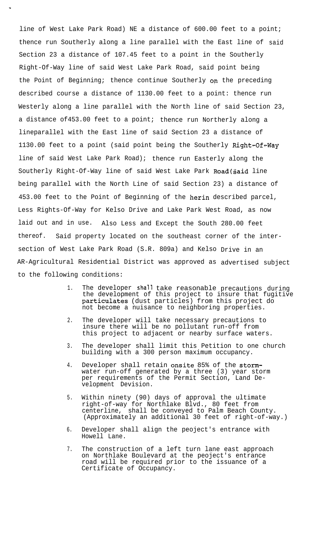line of West Lake Park Road) NE a distance of 600.00 feet to a point; thence run Southerly along a line parallel with the East line of said Section 23 a distance of 107.45 feet to a point in the Southerly Right-Of-Way line of said West Lake Park Road, said point being the Point of Beginning; thence continue Southerly on the preceding described course a distance of 1130.00 feet to a point: thence run Westerly along a line parallel with the North line of said Section 23, a distance of453.00 feet to a point; thence run Northerly along a lineparallel with the East line of said Section 23 a distance of 1130.00 feet to a point (said point being the Southerly Right-Of-Way line of said West Lake Park Road); thence run Easterly along the Southerly Right-Of-Way line of said West Lake Park Road(said line being parallel with the North Line of said Section 23) a distance of 453.00 feet to the Point of Beginning of the herin described parcel, Less Rights-Of-Way for Kelso Drive and Lake Park West Road, as now laid out and in use. Also Less and Except the South 280.00 feet thereof. Said property located on the southeast corner of the intersection of West Lake Park Road (S.R. 809a) and Kelso Drive in an AR-Agricultural Residential District was approved as advertised subject to the following conditions:

- 1. The developer shall take reasonable precautions during the development of this project to insure that fugitive particulates (dust particles) from this project do not become a nuisance to neighboring properties.
- $2<sub>1</sub>$ The developer will take necessary precautions to insure there will be no pollutant run-off from this project to adjacent or nearby surface waters.
- 3. The developer shall limit this Petition to one church building with a 300 person maximum occupancy.
- 4. Developer shall retain onsite 85% of the stormwater run-off generated by a three (3) year storm per requirements of the Permit Section, Land Development Devision.
- 5. Within ninety (90) days of approval the ultimate right-of-way for Northlake Blvd., 80 feet from centerline, shall be conveyed to Palm Beach County. (Approximately an additional 30 feet of right-of-way.)
- 6. Developer shall align the peoject's entrance with Howell Lane.
- 7. The construction of a left turn lane east approach on Northlake Boulevard at the peoject's entrance road will be required prior to the issuance of a Certificate of Occupancy.